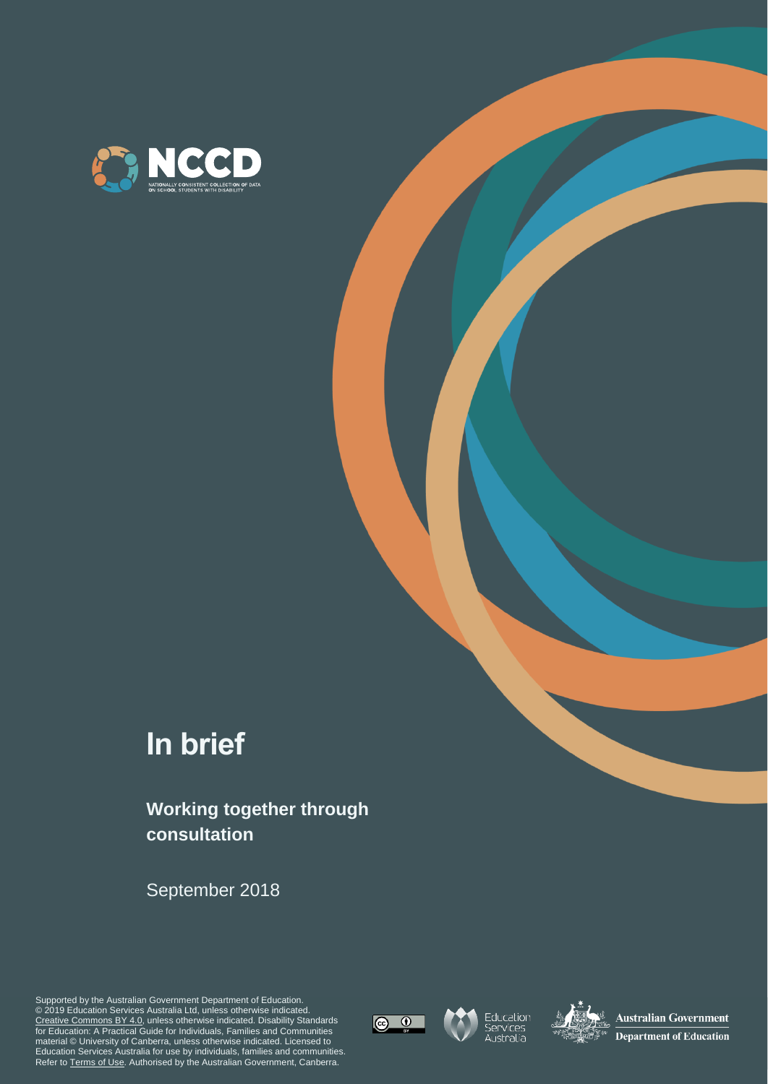

# **In brief**

### **Working together through consultation**

September 2018

Supported by the Australian Government Department of Education. © 2019 Education Services Australia Ltd, unless otherwise indicated. [Creative Commons BY 4.0,](https://creativecommons.org/licenses/by/4.0/) unless otherwise indicated. Disability Standards for Education: A Practical Guide for Individuals, Families and Communities material © University of Canberra, unless otherwise indicated. Licensed to Education Services Australia for use by individuals, families and communities. Refer t[o Terms of Use.](https://www.nccd.edu.au/terms-of-use) Authorised by the Australian Government, Canberra.





Education<br>Services<br>Australia



**Australian Government Department of Education**